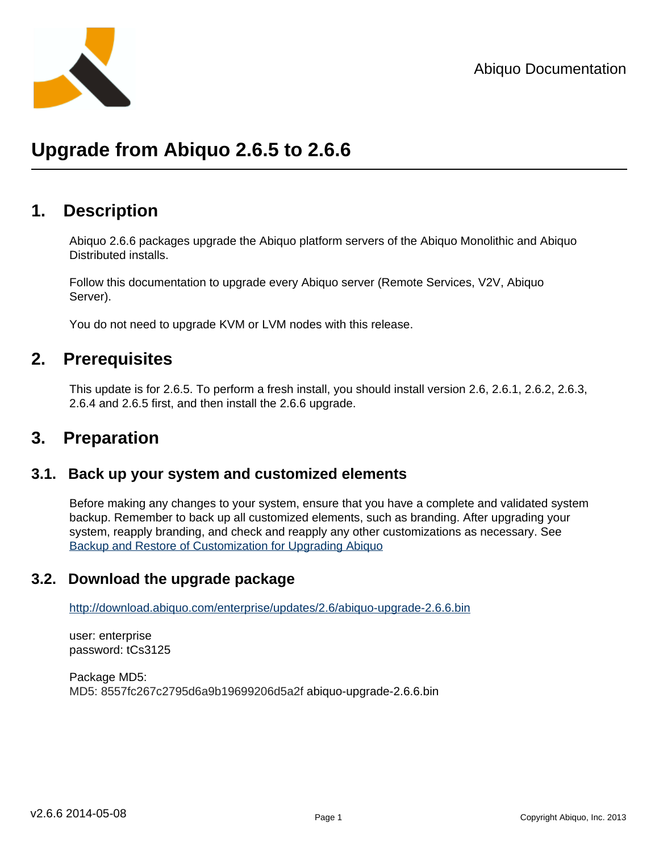

## **Upgrade from Abiquo 2.6.5 to 2.6.6**

## **1. Description**

Abiquo 2.6.6 packages upgrade the Abiquo platform servers of the Abiquo Monolithic and Abiquo Distributed installs.

Follow this documentation to upgrade every Abiquo server (Remote Services, V2V, Abiquo Server).

You do not need to upgrade KVM or LVM nodes with this release.

## **2. Prerequisites**

This update is for 2.6.5. To perform a fresh install, you should install version 2.6, 2.6.1, 2.6.2, 2.6.3, 2.6.4 and 2.6.5 first, and then install the 2.6.6 upgrade.

## **3. Preparation**

#### **3.1. Back up your system and customized elements**

Before making any changes to your system, ensure that you have a complete and validated system backup. Remember to back up all customized elements, such as branding. After upgrading your system, reapply branding, and check and reapply any other customizations as necessary. See [Backup and Restore of Customization for Upgrading Abiquo](http://wiki.abiquo.com/display/ABI26/Backup+and+Restore+of+Customization+for+Upgrading+Abiquo)

### **3.2. Download the upgrade package**

<http://download.abiquo.com/enterprise/updates/2.6/abiquo-upgrade-2.6.6.bin>

user: enterprise password: tCs3125

Package MD5: MD5: 8557fc267c2795d6a9b19699206d5a2f abiquo-upgrade-2.6.6.bin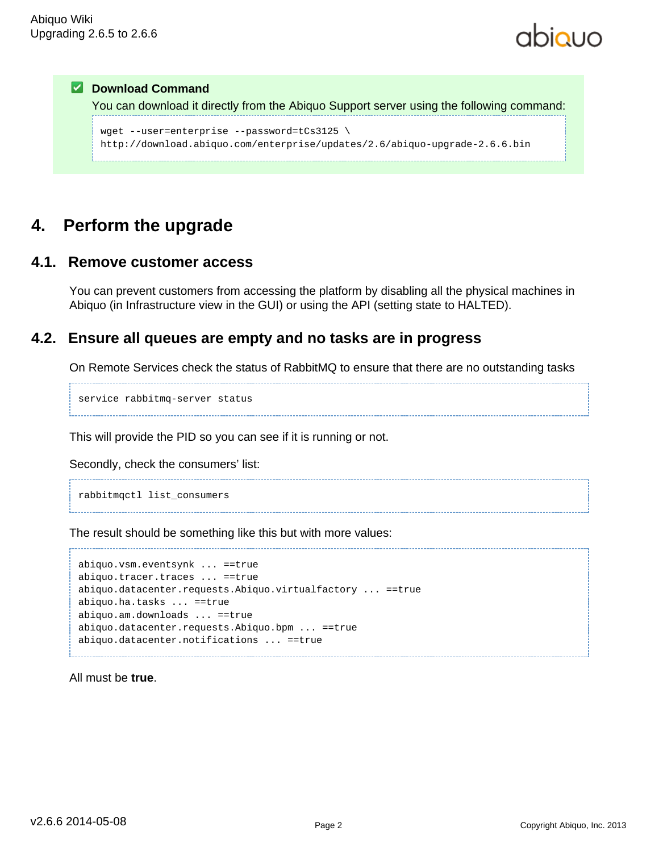## **Z** Download Command You can download it directly from the Abiquo Support server using the following command: wget --user=enterprise --password=tCs3125 \ http://download.abiquo.com/enterprise/updates/2.6/abiquo-upgrade-2.6.6.bin

## **4. Perform the upgrade**

#### **4.1. Remove customer access**

You can prevent customers from accessing the platform by disabling all the physical machines in Abiquo (in Infrastructure view in the GUI) or using the API (setting state to HALTED).

### **4.2. Ensure all queues are empty and no tasks are in progress**

On Remote Services check the status of RabbitMQ to ensure that there are no outstanding tasks

service rabbitmq-server status

This will provide the PID so you can see if it is running or not.

Secondly, check the consumers' list:

rabbitmqctl list\_consumers

The result should be something like this but with more values:

```
abiquo.vsm.eventsynk ... ==true
abiquo.tracer.traces ... ==true
abiquo.datacenter.requests.Abiquo.virtualfactory ... ==true
abiquo.ha.tasks ... ==true
abiquo.am.downloads ... ==true
abiquo.datacenter.requests.Abiquo.bpm ... ==true
abiquo.datacenter.notifications ... ==true
```
All must be **true**.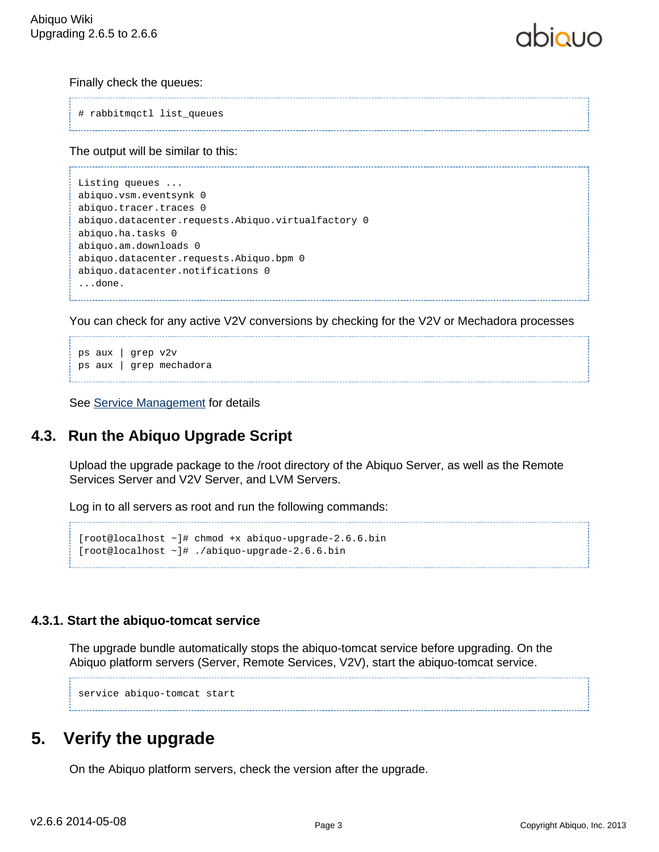#### Finally check the queues:

```
# rabbitmqctl list_queues
```
The output will be similar to this:

```
Listing queues ...
abiquo.vsm.eventsynk 0
abiquo.tracer.traces 0
abiquo.datacenter.requests.Abiquo.virtualfactory 0
abiquo.ha.tasks 0
abiquo.am.downloads 0
abiquo.datacenter.requests.Abiquo.bpm 0
abiquo.datacenter.notifications 0
...done.
```
You can check for any active V2V conversions by checking for the V2V or Mechadora processes

```
ps aux | grep v2v
ps aux | grep mechadora
```
See [Service Management](http://wiki.abiquo.com/display/DEVOPS/Service+Management) for details

## **4.3. Run the Abiquo Upgrade Script**

Upload the upgrade package to the /root directory of the Abiquo Server, as well as the Remote Services Server and V2V Server, and LVM Servers.

Log in to all servers as root and run the following commands:

```
[root@localhost ~]# chmod +x abiquo-upgrade-2.6.6.bin
[root@localhost ~]# ./abiquo-upgrade-2.6.6.bin
```
#### **4.3.1. Start the abiquo-tomcat service**

The upgrade bundle automatically stops the abiquo-tomcat service before upgrading. On the Abiquo platform servers (Server, Remote Services, V2V), start the abiquo-tomcat service.

service abiquo-tomcat start

## **5. Verify the upgrade**

On the Abiquo platform servers, check the version after the upgrade.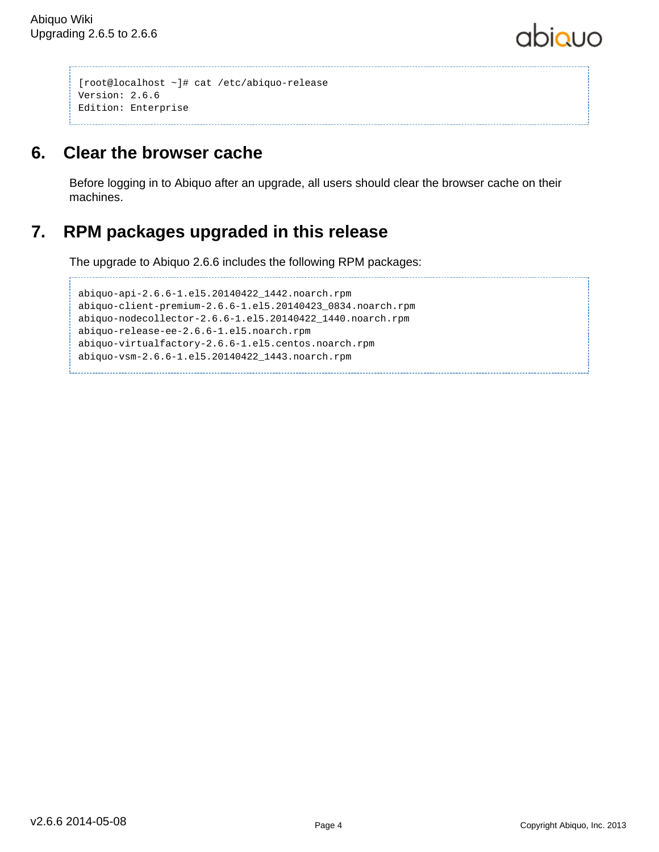# abiauo

```
[root@localhost ~]# cat /etc/abiquo-release 
Version: 2.6.6
Edition: Enterprise
```
## **6. Clear the browser cache**

Before logging in to Abiquo after an upgrade, all users should clear the browser cache on their machines.

## **7. RPM packages upgraded in this release**

The upgrade to Abiquo 2.6.6 includes the following RPM packages:

```
abiquo-api-2.6.6-1.el5.20140422_1442.noarch.rpm
abiquo-client-premium-2.6.6-1.el5.20140423_0834.noarch.rpm
abiquo-nodecollector-2.6.6-1.el5.20140422_1440.noarch.rpm
abiquo-release-ee-2.6.6-1.el5.noarch.rpm
abiquo-virtualfactory-2.6.6-1.el5.centos.noarch.rpm
abiquo-vsm-2.6.6-1.el5.20140422_1443.noarch.rpm
```